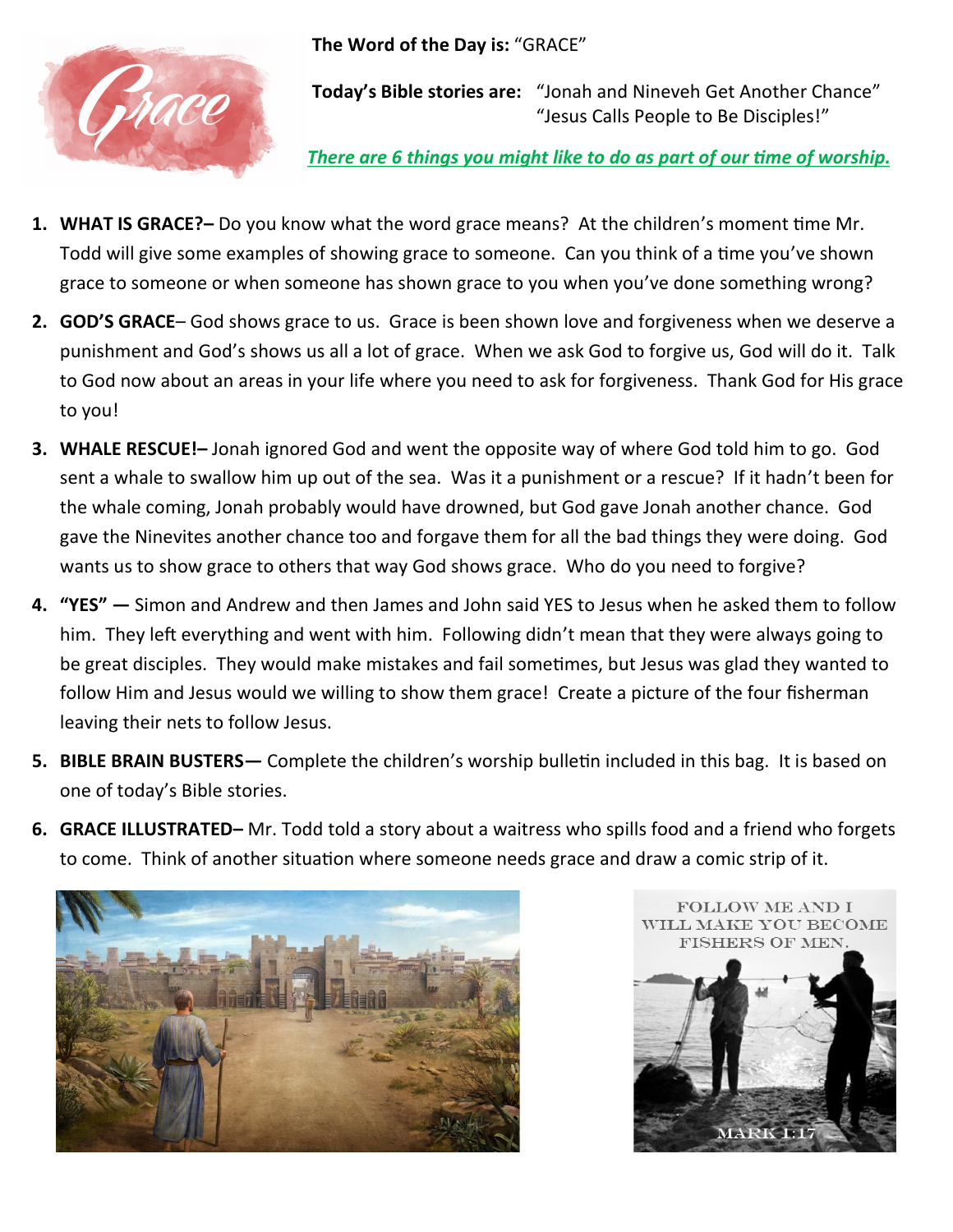**The Word of the Day is:** "GRACE"



**Today's Bible stories are:** "Jonah and Nineveh Get Another Chance" "Jesus Calls People to Be Disciples!"

*There are 6 things you might like to do as part of our time of worship.*

- **1. WHAT IS GRACE?–** Do you know what the word grace means? At the children's moment time Mr. Todd will give some examples of showing grace to someone. Can you think of a time you've shown grace to someone or when someone has shown grace to you when you've done something wrong?
- **2. GOD'S GRACE** God shows grace to us. Grace is been shown love and forgiveness when we deserve a punishment and God's shows us all a lot of grace. When we ask God to forgive us, God will do it. Talk to God now about an areas in your life where you need to ask for forgiveness. Thank God for His grace to you!
- **3. WHALE RESCUE!–** Jonah ignored God and went the opposite way of where God told him to go. God sent a whale to swallow him up out of the sea. Was it a punishment or a rescue? If it hadn't been for the whale coming, Jonah probably would have drowned, but God gave Jonah another chance. God gave the Ninevites another chance too and forgave them for all the bad things they were doing. God wants us to show grace to others that way God shows grace. Who do you need to forgive?
- **4. "YES" —** Simon and Andrew and then James and John said YES to Jesus when he asked them to follow him. They left everything and went with him. Following didn't mean that they were always going to be great disciples. They would make mistakes and fail sometimes, but Jesus was glad they wanted to follow Him and Jesus would we willing to show them grace! Create a picture of the four fisherman leaving their nets to follow Jesus.
- **5. BIBLE BRAIN BUSTERS—** Complete the children's worship bulletin included in this bag. It is based on one of today's Bible stories.
- **6. GRACE ILLUSTRATED–** Mr. Todd told a story about a waitress who spills food and a friend who forgets to come. Think of another situation where someone needs grace and draw a comic strip of it.



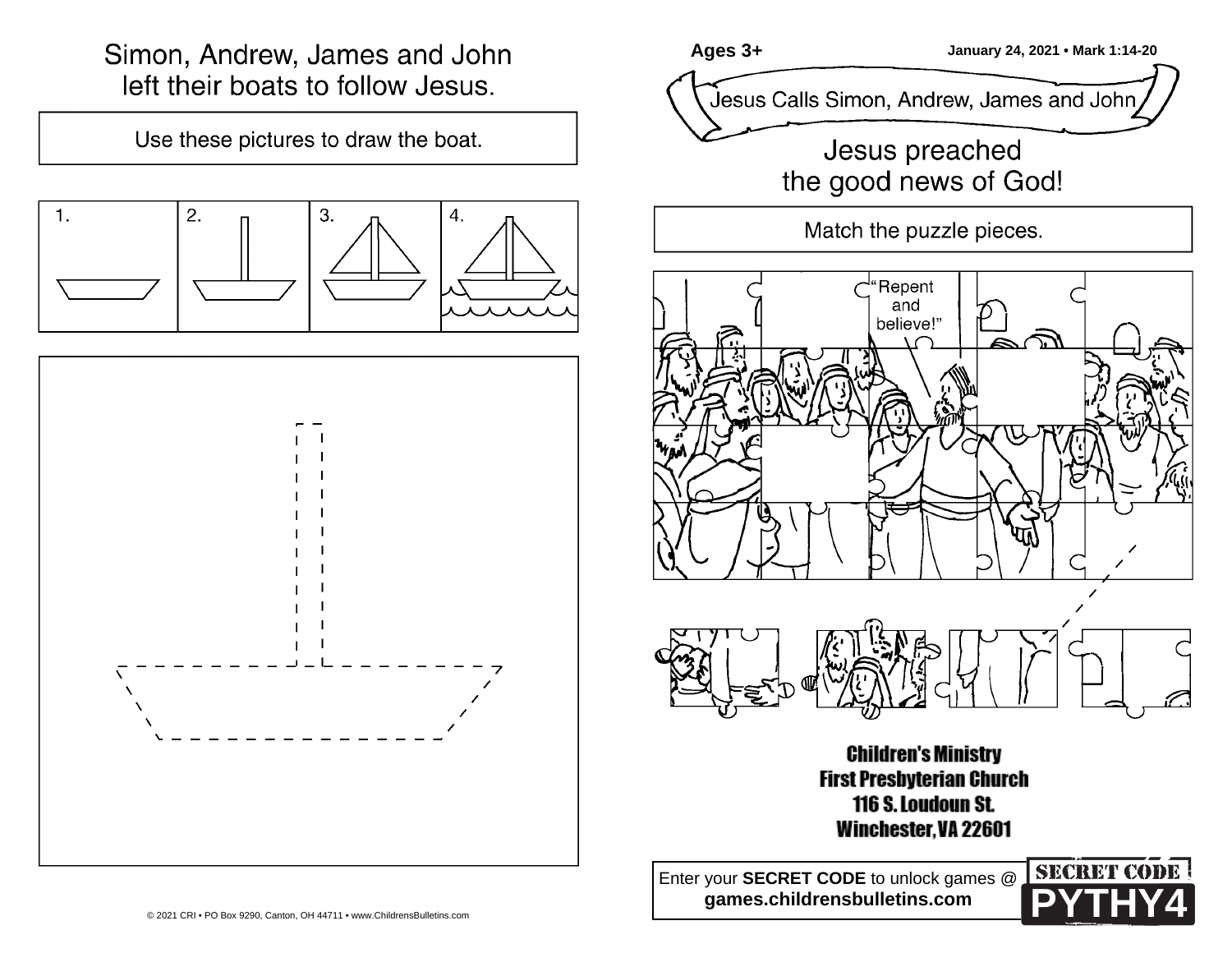## Simon, Andrew, James and John left their boats to follow Jesus.

Use these pictures to draw the boat.





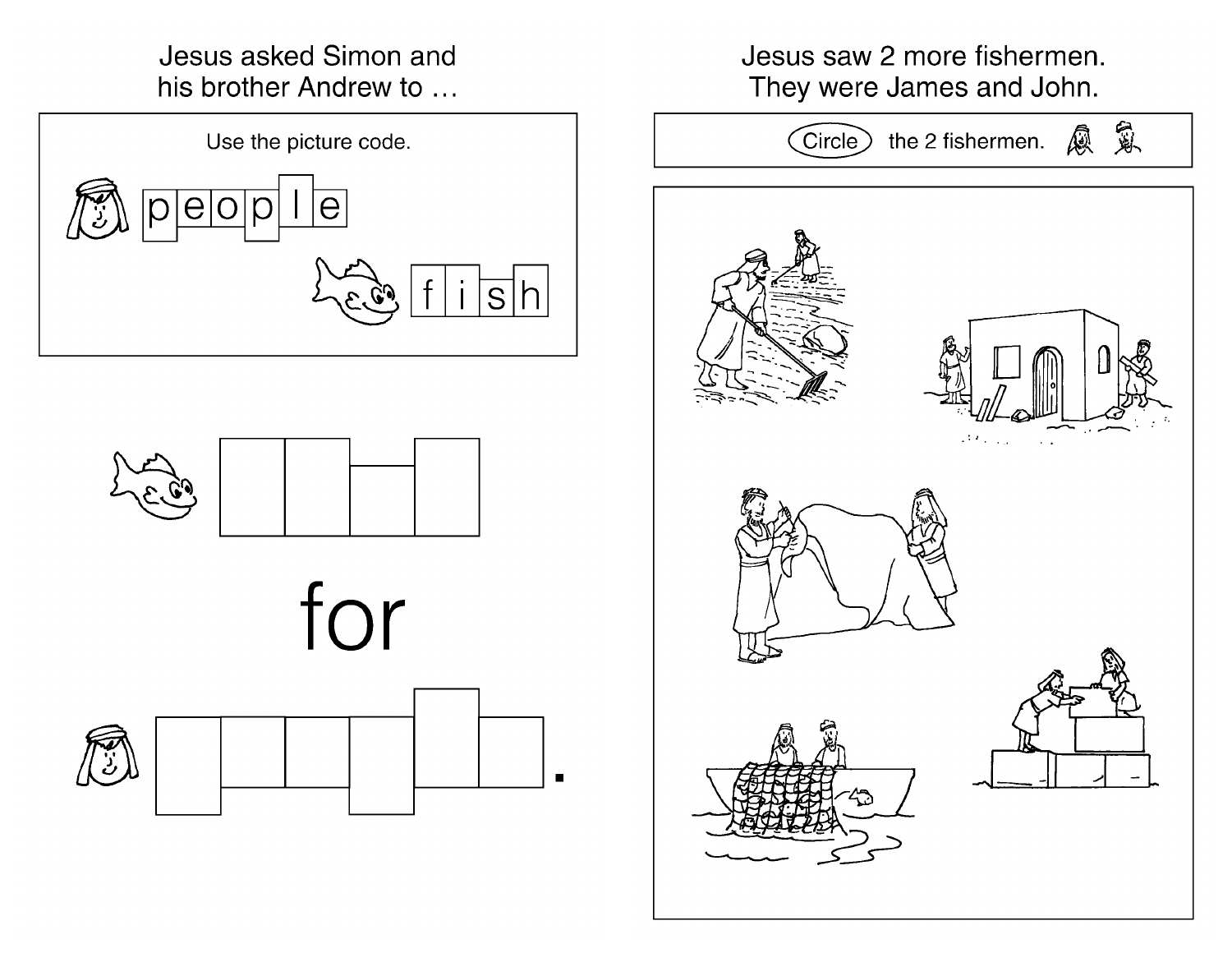Jesus asked Simon and his brother Andrew to ...







Jesus saw 2 more fishermen. They were James and John.

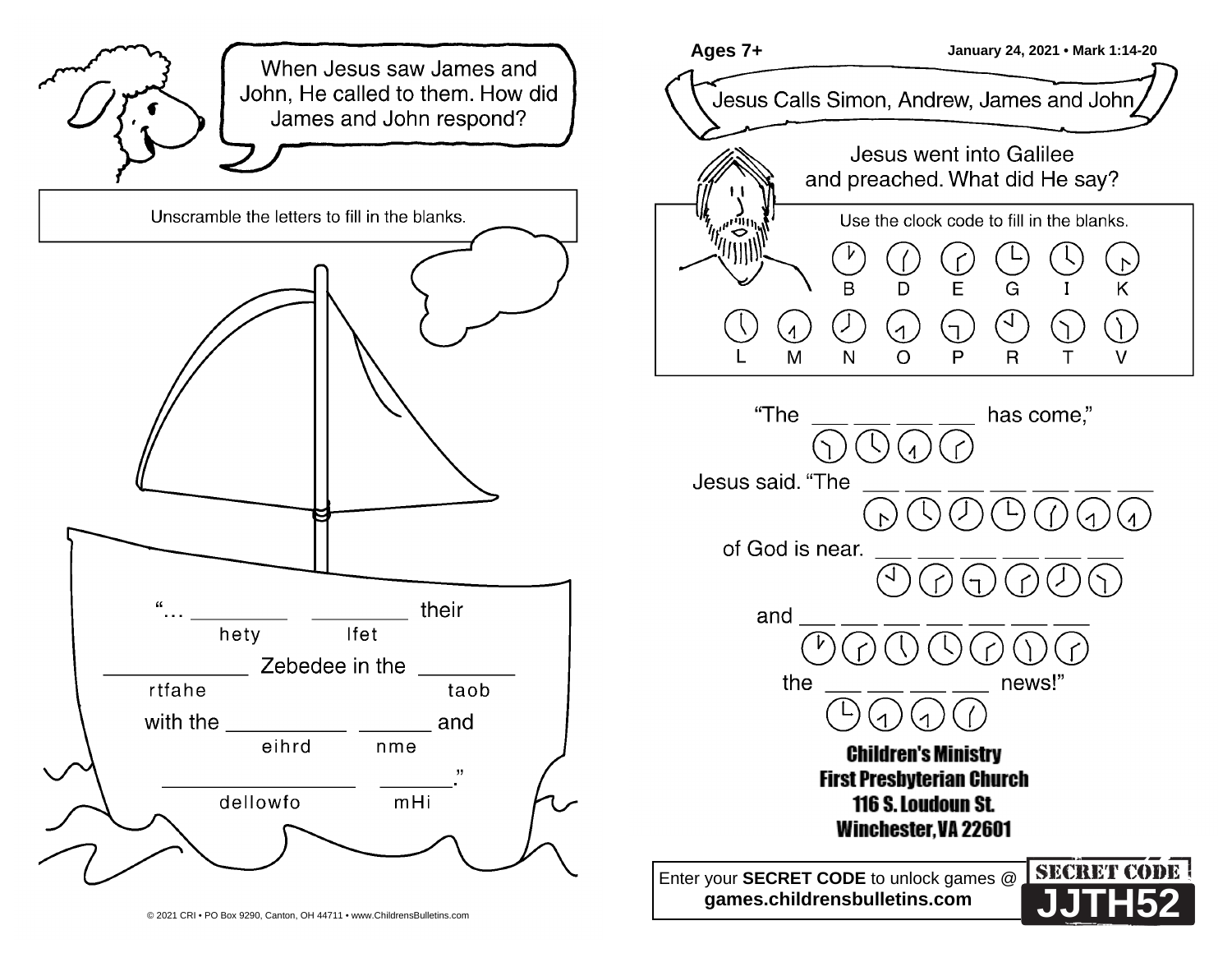